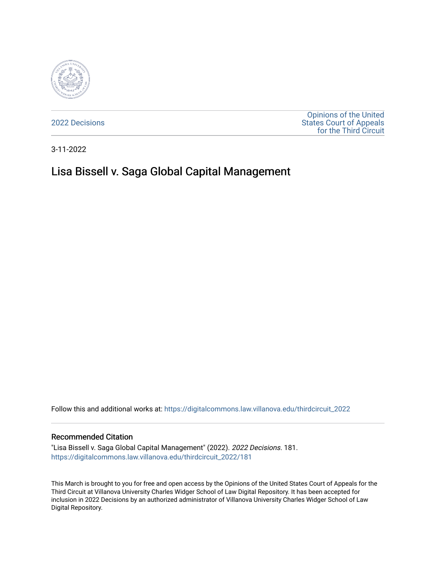

[2022 Decisions](https://digitalcommons.law.villanova.edu/thirdcircuit_2022)

[Opinions of the United](https://digitalcommons.law.villanova.edu/thirdcircuit)  [States Court of Appeals](https://digitalcommons.law.villanova.edu/thirdcircuit)  [for the Third Circuit](https://digitalcommons.law.villanova.edu/thirdcircuit) 

3-11-2022

# Lisa Bissell v. Saga Global Capital Management

Follow this and additional works at: [https://digitalcommons.law.villanova.edu/thirdcircuit\\_2022](https://digitalcommons.law.villanova.edu/thirdcircuit_2022?utm_source=digitalcommons.law.villanova.edu%2Fthirdcircuit_2022%2F181&utm_medium=PDF&utm_campaign=PDFCoverPages) 

#### Recommended Citation

"Lisa Bissell v. Saga Global Capital Management" (2022). 2022 Decisions. 181. [https://digitalcommons.law.villanova.edu/thirdcircuit\\_2022/181](https://digitalcommons.law.villanova.edu/thirdcircuit_2022/181?utm_source=digitalcommons.law.villanova.edu%2Fthirdcircuit_2022%2F181&utm_medium=PDF&utm_campaign=PDFCoverPages)

This March is brought to you for free and open access by the Opinions of the United States Court of Appeals for the Third Circuit at Villanova University Charles Widger School of Law Digital Repository. It has been accepted for inclusion in 2022 Decisions by an authorized administrator of Villanova University Charles Widger School of Law Digital Repository.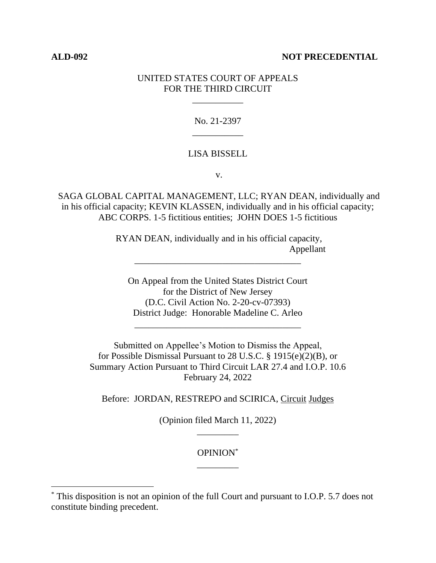# **ALD-092 NOT PRECEDENTIAL**

# UNITED STATES COURT OF APPEALS FOR THE THIRD CIRCUIT

\_\_\_\_\_\_\_\_\_\_\_

No. 21-2397 \_\_\_\_\_\_\_\_\_\_\_

# LISA BISSELL

v.

SAGA GLOBAL CAPITAL MANAGEMENT, LLC; RYAN DEAN, individually and in his official capacity; KEVIN KLASSEN, individually and in his official capacity; ABC CORPS. 1-5 fictitious entities; JOHN DOES 1-5 fictitious

> RYAN DEAN, individually and in his official capacity, Appellant

\_\_\_\_\_\_\_\_\_\_\_\_\_\_\_\_\_\_\_\_\_\_\_\_\_\_\_\_\_\_\_\_\_\_\_\_

On Appeal from the United States District Court for the District of New Jersey (D.C. Civil Action No. 2-20-cv-07393) District Judge: Honorable Madeline C. Arleo

\_\_\_\_\_\_\_\_\_\_\_\_\_\_\_\_\_\_\_\_\_\_\_\_\_\_\_\_\_\_\_\_\_\_\_\_

Submitted on Appellee's Motion to Dismiss the Appeal, for Possible Dismissal Pursuant to 28 U.S.C. § 1915(e)(2)(B), or Summary Action Pursuant to Third Circuit LAR 27.4 and I.O.P. 10.6 February 24, 2022

Before: JORDAN, RESTREPO and SCIRICA, Circuit Judges

(Opinion filed March 11, 2022) \_\_\_\_\_\_\_\_\_

> OPINION\* \_\_\_\_\_\_\_\_\_

<sup>\*</sup> This disposition is not an opinion of the full Court and pursuant to I.O.P. 5.7 does not constitute binding precedent.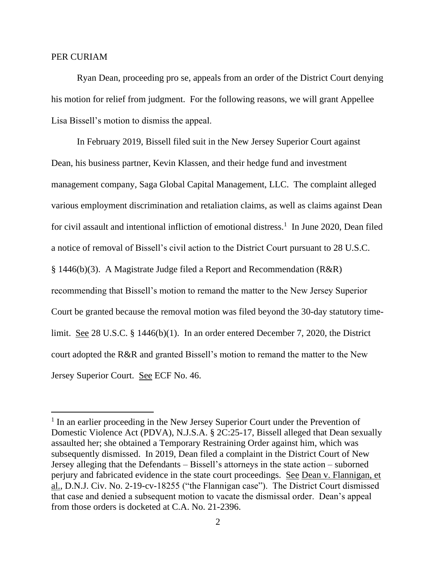## PER CURIAM

Ryan Dean, proceeding pro se, appeals from an order of the District Court denying his motion for relief from judgment. For the following reasons, we will grant Appellee Lisa Bissell's motion to dismiss the appeal.

In February 2019, Bissell filed suit in the New Jersey Superior Court against Dean, his business partner, Kevin Klassen, and their hedge fund and investment management company, Saga Global Capital Management, LLC. The complaint alleged various employment discrimination and retaliation claims, as well as claims against Dean for civil assault and intentional infliction of emotional distress.<sup>1</sup> In June 2020, Dean filed a notice of removal of Bissell's civil action to the District Court pursuant to 28 U.S.C. § 1446(b)(3). A Magistrate Judge filed a Report and Recommendation (R&R) recommending that Bissell's motion to remand the matter to the New Jersey Superior Court be granted because the removal motion was filed beyond the 30-day statutory timelimit. See 28 U.S.C. § 1446(b)(1). In an order entered December 7, 2020, the District court adopted the R&R and granted Bissell's motion to remand the matter to the New Jersey Superior Court. See ECF No. 46.

<sup>&</sup>lt;sup>1</sup> In an earlier proceeding in the New Jersey Superior Court under the Prevention of Domestic Violence Act (PDVA), N.J.S.A. § 2C:25-17, Bissell alleged that Dean sexually assaulted her; she obtained a Temporary Restraining Order against him, which was subsequently dismissed. In 2019, Dean filed a complaint in the District Court of New Jersey alleging that the Defendants – Bissell's attorneys in the state action – suborned perjury and fabricated evidence in the state court proceedings. See Dean v. Flannigan, et al., D.N.J. Civ. No. 2-19-cv-18255 ("the Flannigan case"). The District Court dismissed that case and denied a subsequent motion to vacate the dismissal order. Dean's appeal from those orders is docketed at C.A. No. 21-2396.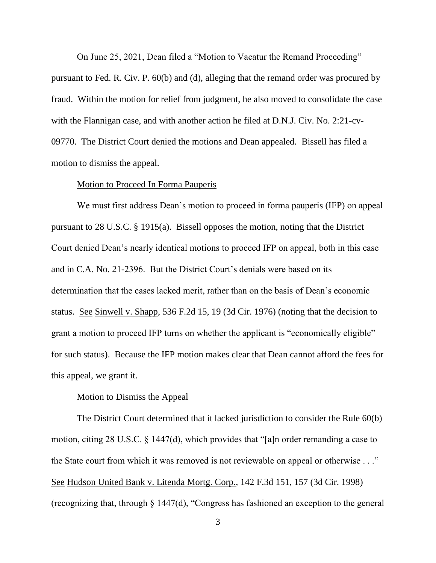On June 25, 2021, Dean filed a "Motion to Vacatur the Remand Proceeding" pursuant to Fed. R. Civ. P. 60(b) and (d), alleging that the remand order was procured by fraud. Within the motion for relief from judgment, he also moved to consolidate the case with the Flannigan case, and with another action he filed at D.N.J. Civ. No. 2:21-cv-09770. The District Court denied the motions and Dean appealed. Bissell has filed a motion to dismiss the appeal.

## Motion to Proceed In Forma Pauperis

We must first address Dean's motion to proceed in forma pauperis (IFP) on appeal pursuant to 28 U.S.C. § 1915(a). Bissell opposes the motion, noting that the District Court denied Dean's nearly identical motions to proceed IFP on appeal, both in this case and in C.A. No. 21-2396. But the District Court's denials were based on its determination that the cases lacked merit, rather than on the basis of Dean's economic status. See Sinwell v. Shapp, 536 F.2d 15, 19 (3d Cir. 1976) (noting that the decision to grant a motion to proceed IFP turns on whether the applicant is "economically eligible" for such status). Because the IFP motion makes clear that Dean cannot afford the fees for this appeal, we grant it.

## Motion to Dismiss the Appeal

The District Court determined that it lacked jurisdiction to consider the Rule 60(b) motion, citing 28 U.S.C. § 1447(d), which provides that "[a]n order remanding a case to the State court from which it was removed is not reviewable on appeal or otherwise . . ." See Hudson United Bank v. Litenda Mortg. Corp., 142 F.3d 151, 157 (3d Cir. 1998) (recognizing that, through § 1447(d), "Congress has fashioned an exception to the general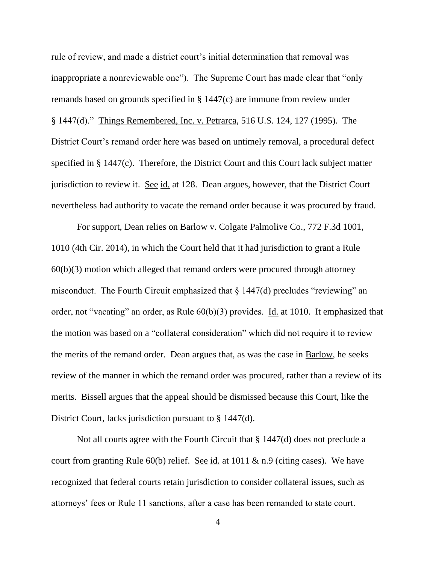rule of review, and made a district court's initial determination that removal was inappropriate a nonreviewable one"). The Supreme Court has made clear that "only remands based on grounds specified in § 1447(c) are immune from review under § 1447(d)." Things Remembered, Inc. v. Petrarca, 516 U.S. 124, 127 (1995). The District Court's remand order here was based on untimely removal, a procedural defect specified in § 1447(c). Therefore, the District Court and this Court lack subject matter jurisdiction to review it. See id. at 128. Dean argues, however, that the District Court nevertheless had authority to vacate the remand order because it was procured by fraud.

For support, Dean relies on Barlow v. Colgate Palmolive Co., 772 F.3d 1001, 1010 (4th Cir. 2014), in which the Court held that it had jurisdiction to grant a Rule 60(b)(3) motion which alleged that remand orders were procured through attorney misconduct. The Fourth Circuit emphasized that  $\S$  1447(d) precludes "reviewing" an order, not "vacating" an order, as Rule  $60(b)(3)$  provides. Id. at 1010. It emphasized that the motion was based on a "collateral consideration" which did not require it to review the merits of the remand order. Dean argues that, as was the case in Barlow, he seeks review of the manner in which the remand order was procured, rather than a review of its merits. Bissell argues that the appeal should be dismissed because this Court, like the District Court, lacks jurisdiction pursuant to § 1447(d).

Not all courts agree with the Fourth Circuit that § 1447(d) does not preclude a court from granting Rule 60(b) relief. See id. at 1011  $\&$  n.9 (citing cases). We have recognized that federal courts retain jurisdiction to consider collateral issues, such as attorneys' fees or Rule 11 sanctions, after a case has been remanded to state court.

4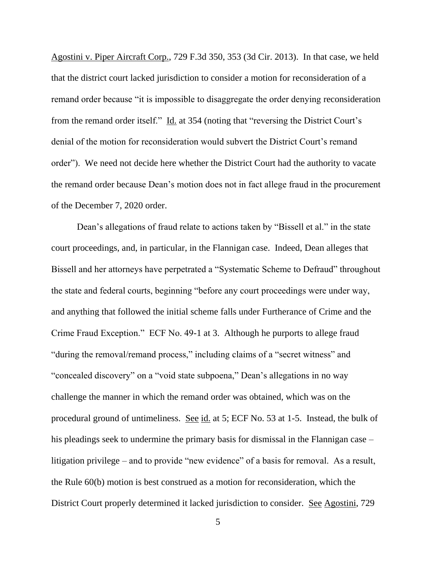Agostini v. Piper Aircraft Corp., 729 F.3d 350, 353 (3d Cir. 2013). In that case, we held that the district court lacked jurisdiction to consider a motion for reconsideration of a remand order because "it is impossible to disaggregate the order denying reconsideration from the remand order itself."  $\underline{Id}$  at 354 (noting that "reversing the District Court's denial of the motion for reconsideration would subvert the District Court's remand order"). We need not decide here whether the District Court had the authority to vacate the remand order because Dean's motion does not in fact allege fraud in the procurement of the December 7, 2020 order.

Dean's allegations of fraud relate to actions taken by "Bissell et al." in the state court proceedings, and, in particular, in the Flannigan case. Indeed, Dean alleges that Bissell and her attorneys have perpetrated a "Systematic Scheme to Defraud" throughout the state and federal courts, beginning "before any court proceedings were under way, and anything that followed the initial scheme falls under Furtherance of Crime and the Crime Fraud Exception." ECF No. 49-1 at 3. Although he purports to allege fraud "during the removal/remand process," including claims of a "secret witness" and "concealed discovery" on a "void state subpoena," Dean's allegations in no way challenge the manner in which the remand order was obtained, which was on the procedural ground of untimeliness. See id. at 5; ECF No. 53 at 1-5. Instead, the bulk of his pleadings seek to undermine the primary basis for dismissal in the Flannigan case – litigation privilege – and to provide "new evidence" of a basis for removal. As a result, the Rule 60(b) motion is best construed as a motion for reconsideration, which the District Court properly determined it lacked jurisdiction to consider. See Agostini, 729